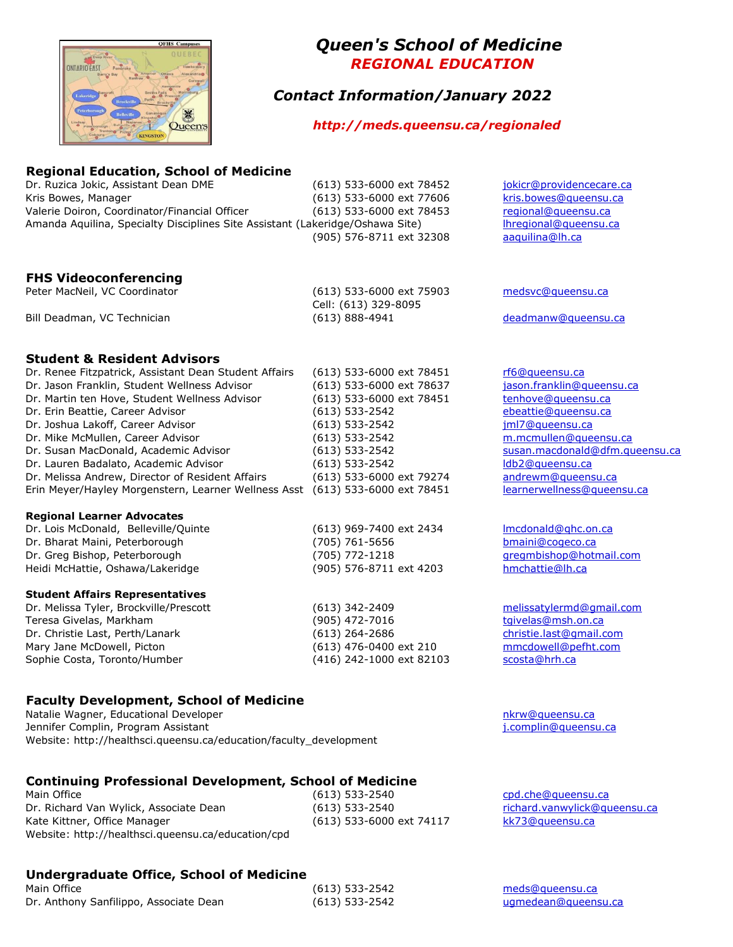

# *Queen's School of Medicine REGIONAL EDUCATION*

# *Contact Information/January 2022*

# *http://meds.queensu.ca/regionaled*

## **Regional Education, School of Medicine**

Dr. Ruzica Jokic, Assistant Dean DME (613) 533-6000 ext 78452 [jokicr@providencecare.ca](mailto:jokicr@providencecare.ca) Kris Bowes, Manager (613) 533-6000 ext 77606 [kris.bowes@queensu.ca](mailto:kris.bowes@queensu.ca) Valerie Doiron, Coordinator/Financial Officer (613) 533-6000 ext 78453 [regional@queensu.ca](mailto:regional@queensu.ca) Amanda Aquilina, Specialty Disciplines Site Assistant (Lakeridge/Oshawa Site) [lhregional@queensu.ca](mailto:lhregional@queensu.ca) (905) 576-8711 ext 32308 [aaquilina@lh.ca](mailto:aaquilina@lh.ca)

#### **FHS Videoconferencing**

Peter MacNeil, VC Coordinator (613) 533-6000 ext 75903 [medsvc@queensu.ca](mailto:medsvc@queensu.ca) Bill Deadman, VC Technician (613) 888-4941 [deadmanw@queensu.ca](mailto:deadmanw@queensu.ca)

Cell: (613) 329-8095

#### **Student & Resident Advisors**

| Dr. Renee Fitzpatrick, Assistant Dean Student Affairs | (613) 533-6000 ext 78451 | rf6@queensu.ca             |
|-------------------------------------------------------|--------------------------|----------------------------|
| Dr. Jason Franklin, Student Wellness Advisor          | (613) 533-6000 ext 78637 | jason.franklin@queensu.ca  |
| Dr. Martin ten Hove, Student Wellness Advisor         | (613) 533-6000 ext 78451 | tenhove@queensu.ca         |
| Dr. Erin Beattie, Career Advisor                      | (613) 533-2542           | ebeattie@gueensu.ca        |
| Dr. Joshua Lakoff, Career Advisor                     | (613) 533-2542           | iml7@queensu.ca            |
| Dr. Mike McMullen, Career Advisor                     | (613) 533-2542           | m.mcmullen@queensu.ca      |
| Dr. Susan MacDonald, Academic Advisor                 | (613) 533-2542           | susan.macdonald@dfm.quee   |
| Dr. Lauren Badalato, Academic Advisor                 | (613) 533-2542           | Idb2@queensu.ca            |
| Dr. Melissa Andrew, Director of Resident Affairs      | (613) 533-6000 ext 79274 | andrewm@gueensu.ca         |
| Erin Meyer/Hayley Morgenstern, Learner Wellness Asst  | (613) 533-6000 ext 78451 | learnerwellness@queensu.ca |

#### **Regional Learner Advocates**

| Dr. Lois McDonald, Belleville/Quinte | (613) 969-74 |
|--------------------------------------|--------------|
| Dr. Bharat Maini, Peterborough       | (705) 761-56 |
| Dr. Greg Bishop, Peterborough        | (705) 772-12 |
| Heidi McHattie, Oshawa/Lakeridge     | (905) 576-87 |
|                                      |              |

#### **Student Affairs Representatives**

Dr. Melissa Tyler, Brockville/Prescott (613) 342-2409 [melissatylermd@gmail.com](mailto:melissatylermd@gmail.com) Teresa Givelas, Markham (905) 472-7016 [tgivelas@msh.on.ca](mailto:tgivelas@msh.on.ca) Dr. Christie Last, Perth/Lanark (613) 264-2686 [christie.last@gmail.com](mailto:christie.last@gmail.com) Mary Jane McDowell, Picton (613) 476-0400 ext 210 [mmcdowell@pefht.com](mailto:mmcdowell@pefht.com) Sophie Costa, Toronto/Humber (416) 242-1000 ext 82103 [scosta@hrh.ca](mailto:scosta@hrh.ca)

# **Faculty Development, School of Medicine**

Natalie Wagner, Educational Developer [nkrw@queensu.ca](mailto:nkrw@queensu.ca) Jennifer Complin, Program Assistant [j.complin@queensu.ca](mailto:j.complin@queensu.ca) Website: http://healthsci.queensu.ca/education/faculty\_development

#### **Continuing Professional Development, School of Medicine**

Main Office **Contract Contract Contract Contract Contract Contract Contract Contract Contract Contract Contract Contract Contract Contract Contract Contract Contract Contract Contract Contract Contract Contract Contract Co** Dr. Richard Van Wylick, Associate Dean (613) 533-2540 [richard.vanwylick@queensu.ca](mailto:richard.vanwylick@queensu.ca) Kate Kittner, Office Manager (613) 533-6000 ext 74117 [kk73@queensu.ca](mailto:kk73@queensu.ca) Website: http://healthsci.queensu.ca/education/cpd

# **Undergraduate Office, School of Medicine**

Main Office **Main Office Main Office Contact Contact Contact Contact Contact Contact Contact Contact Contact Contact Contact Contact Contact Contact Contact Contact Contact Contact Contact Contact Contact Contact Conta** Dr. Anthony Sanfilippo, Associate Dean (613) 533-2542 [ugmedean@queensu.ca](mailto:ugmedean@queensu.ca)

[rf6@queensu.ca](mailto:rf6@queensu.ca) jason. franklin@queensu.ca ten hove@queensu.ca [ebeattie@queensu.ca](mailto:ebeattie@queensu.ca) [jml7@queensu.ca](mailto:jml7@queensu.ca) m. mcmullen@queensu.ca susan. macdonald@dfm.queensu.ca [ldb2@queensu.ca](mailto:ldb2@queensu.ca) [andrewm@queensu.ca](mailto:andrewm@queensu.ca)

00 ext 2434 [lmcdonald@qhc.on.ca](mailto:lmcdonald@qhc.on.ca) Dr. Bharat Maini, Peterborough (705) 761-5656 [bmaini@cogeco.ca](mailto:bmaini@cogeco.ca) Product Bishop, Peterborough (1805) 772-1218 greg mbishop@hotmail.com 11 ext 4203 [hmchattie@lh.ca](mailto:hmchattie@lh.ca)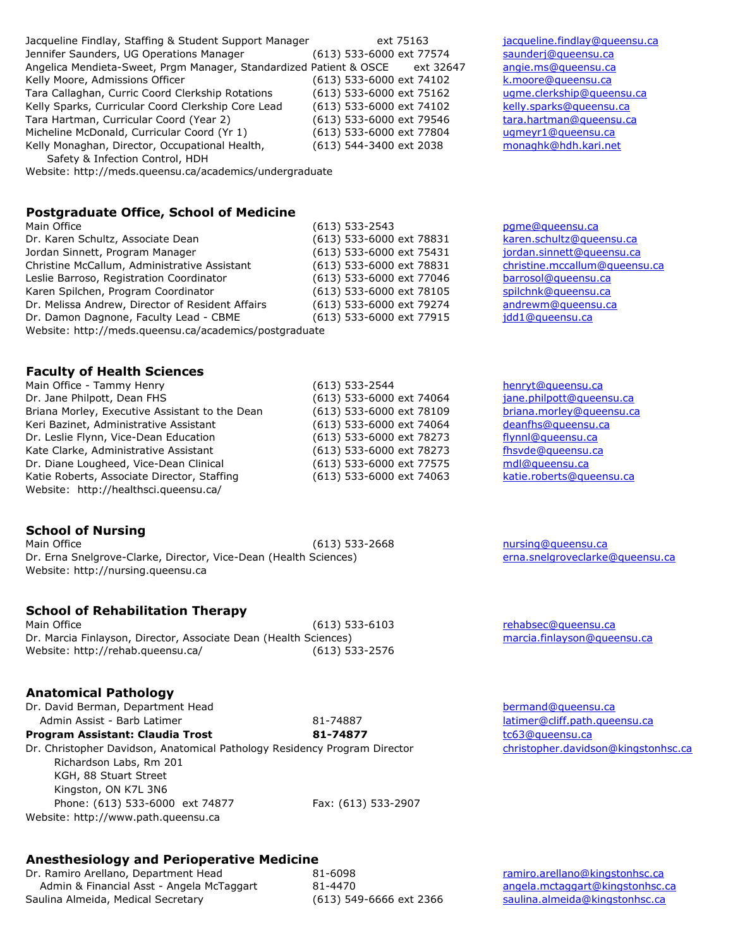Jacqueline Findlay, Staffing & Student Support Manager ext 75163 [jacqueline.findlay@queensu.ca](mailto:jacqueline.findlay@queensu.ca) Jennifer Saunders, UG Operations Manager (613) 533-6000 ext 77574 [saunderj@queensu.ca](mailto:saunderj@queensu.ca) Angelica Mendieta-Sweet, Prgm Manager, Standardized Patient & OSCE ext 32647 [angie.ms@queensu.ca](mailto:angie.ms@queensu.ca) Kelly Moore, Admissions Officer (613) 533-6000 ext 74102 [k.moore@queensu.ca](mailto:k.moore@queensu.ca) Tara Callaghan, Curric Coord Clerkship Rotations (613) 533-6000 ext 75162 [ugme.clerkship@queensu.ca](mailto:ugme.clerkship@queensu.ca) Kelly Sparks, Curricular Coord Clerkship Core Lead (613) 533-6000 ext 74102 [kelly.sparks@queensu.ca](mailto:kelly.sparks@queensu.ca) Tara Hartman, Curricular Coord (Year 2) (613) 533-6000 ext 79546 [tara.hartman@queensu.ca](mailto:tara.hartman@queensu.ca) Micheline McDonald, Curricular Coord (Yr 1) (613) 533-6000 ext 77804 [ugmeyr1@queensu.ca](mailto:ugme.year1@queensu.ca) Kelly Monaghan, Director, Occupational Health, (613) 544-3400 ext 2038 [monaghk@hdh.kari.net](mailto:monaghk@hdh.kari.net) Safety & Infection Control, HDH

Website: http://meds.queensu.ca/academics/undergraduate

## **Postgraduate Office, School of Medicine**

| Postyraugate Unite, School of Medicine                 |                          |                     |
|--------------------------------------------------------|--------------------------|---------------------|
| Main Office                                            | $(613)$ 533-2543         | pqme@queensu.ca     |
| Dr. Karen Schultz, Associate Dean                      | (613) 533-6000 ext 78831 | karen.schultz@que   |
| Jordan Sinnett, Program Manager                        | (613) 533-6000 ext 75431 | jordan.sinnett@que  |
| Christine McCallum, Administrative Assistant           | (613) 533-6000 ext 78831 | christine.mccallum( |
| Leslie Barroso, Registration Coordinator               | (613) 533-6000 ext 77046 | barrosol@queensu.   |
| Karen Spilchen, Program Coordinator                    | (613) 533-6000 ext 78105 | spilchnk@queensu.   |
| Dr. Melissa Andrew, Director of Resident Affairs       | (613) 533-6000 ext 79274 | andrewm@gueensu     |
| Dr. Damon Dagnone, Faculty Lead - CBME                 | (613) 533-6000 ext 77915 | idd1@queensu.ca     |
| Website: http://meds.queensu.ca/academics/postgraduate |                          |                     |

#### **Faculty of Health Sciences**

| Main Office - Tammy Henry                      |
|------------------------------------------------|
| Dr. Jane Philpott, Dean FHS                    |
| Briana Morley, Executive Assistant to the Dean |
| Keri Bazinet, Administrative Assistant         |
| Dr. Leslie Flynn, Vice-Dean Education          |
| Kate Clarke, Administrative Assistant          |
| Dr. Diane Lougheed, Vice-Dean Clinical         |
| Katie Roberts, Associate Director, Staffing    |
| Website: http://healthsci.queensu.ca/          |

# **School of Nursing**

Main Office **Contract Contract Contract Contract Contract Contract Contract Contract Contract Contract Contract Contract Contract Contract Contract Contract Contract Contract Contract Contract Contract Contract Contract Co** Dr. Erna Snelgrove-Clarke, Director, Vice-Dean (Health Sciences) ernamental [erna.snelgroveclarke@queensu.ca](mailto:erna.snelgroveclarke@queensu.ca) Website: http://nursing.queensu.ca

# **School of Rehabilitation Therapy**

Main Office **Example 20** [rehabsec@queensu.ca](mailto:rehabsec@queensu.ca) Dr. Marcia Finlayson, Director, Associate Dean (Health Sciences) [marcia.finlayson@queensu.ca](mailto:marcia.finlayson@queensu.ca) Website: http://rehab.queensu.ca/ (613) 533-2576

#### **Anatomical Pathology**

Dr. David Berman, Department Head [bermand@queensu.ca](mailto:bermand@queensu.ca) Admin Assist - Barb Latimer 81-74887 [latimer@cliff.path.queensu.ca](mailto:latimer@cliff.path.queensu.ca) **Program Assistant: Claudia Trost 81-74877** [tc63@queensu.ca](mailto:tc63@queensu.ca) Dr. Christopher Davidson, Anatomical Pathology Residency Program Director [christopher.davidson@kingstonhsc.ca](mailto:christopher.davidson@kingstonhsc.ca) Richardson Labs, Rm 201 KGH, 88 Stuart Street Kingston, ON K7L 3N6 Phone: (613) 533-6000 ext 74877 Fax: (613) 533-2907 Website: http://www.path.queensu.ca

# **Anesthesiology and Perioperative Medicine**

Dr. Ramiro Arellano, Department Head 81-6098 [ramiro.arellano@kingstonhsc.ca](mailto:ramiro.arellano@kingstonhsc.ca) Admin & Financial Asst - Angela McTaggart 81-4470 [angela.mctaggart@kingstonhsc.ca](mailto:angela.mctaggart@kingstonhsc.ca) Saulina Almeida, Medical Secretary (613) 549-6666 ext 2366 [saulina.almeida@kingstonhsc.ca](mailto:saulina.almeida@kingstonhsc.ca)

31 [karen.schultz@queensu.ca](mailto:karen.schultz@queensu.ca) 31 iordan.sinnett@queensu.ca 31 [christine.mccallum@queensu.ca](mailto:christine.mccallum@queensu.ca) 16 barrosol@queensu.ca 05 [spilchnk@queensu.ca](mailto:spilchnk@queensu.ca) 74 [andrewm@queensu.ca](mailto:andrewm@queensu.ca) 15 idd1@queensu.ca

 $(613)$  533-2544 [henryt@queensu.ca](mailto:henryt@queensu.ca)

 $(613)$  533-6000 ext 74064 [jane.philpott@queensu.ca](mailto:jane.philpott@queensu.ca) (613) 533-6000 ext 78109 [briana.morley@queensu.ca](mailto:briana.morley@queensu.ca)  $(613)$  533-6000 ext 74064 [deanfhs@queensu.ca](mailto:deanfhs@queensu.ca)  $(613)$  533-6000 ext 78273 [flynnl@queensu.ca](mailto:flynnl@queensu.ca)  $(613)$  533-6000 ext 78273 fhsvde@queensu.ca  $(613)$  533-6000 ext 77575 [mdl@queensu.ca](mailto:mdl@queensu.ca) (613) 533-6000 ext 74063 [katie.roberts@queensu.ca](mailto:katie.roberts@queensu.ca)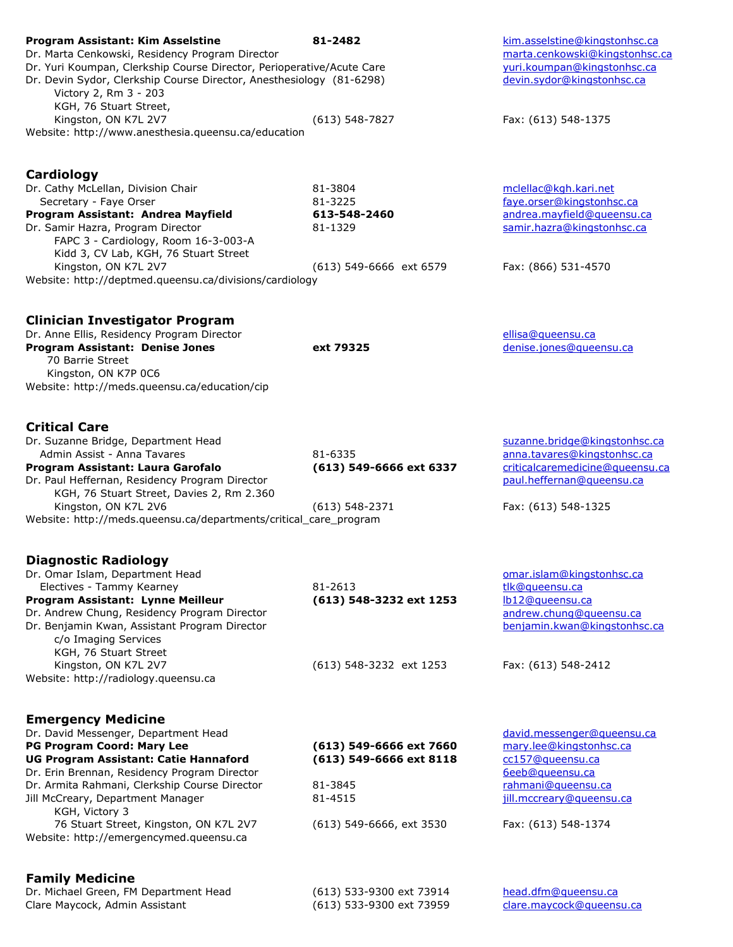| <b>Program Assistant: Kim Asselstine</b><br>Dr. Marta Cenkowski, Residency Program Director                                                                                                      | 81-2482                                              | kim.asselstine@kingstonhsc.ca<br>marta.cenkowski@kingstonhsc.ca |
|--------------------------------------------------------------------------------------------------------------------------------------------------------------------------------------------------|------------------------------------------------------|-----------------------------------------------------------------|
| Dr. Yuri Koumpan, Clerkship Course Director, Perioperative/Acute Care<br>Dr. Devin Sydor, Clerkship Course Director, Anesthesiology (81-6298)<br>Victory 2, Rm 3 - 203<br>KGH, 76 Stuart Street, |                                                      | yuri.koumpan@kingstonhsc.ca<br>devin.sydor@kingstonhsc.ca       |
| Kingston, ON K7L 2V7<br>Website: http://www.anesthesia.queensu.ca/education                                                                                                                      | $(613)$ 548-7827                                     | Fax: (613) 548-1375                                             |
| Cardiology                                                                                                                                                                                       |                                                      |                                                                 |
| Dr. Cathy McLellan, Division Chair<br>Secretary - Faye Orser                                                                                                                                     | 81-3804<br>81-3225                                   | mclellac@kgh.kari.net<br>faye.orser@kingstonhsc.ca              |
| Program Assistant: Andrea Mayfield<br>Dr. Samir Hazra, Program Director<br>FAPC 3 - Cardiology, Room 16-3-003-A<br>Kidd 3, CV Lab, KGH, 76 Stuart Street                                         | 613-548-2460<br>81-1329                              | andrea.mayfield@queensu.ca<br>samir.hazra@kingstonhsc.ca        |
| Kingston, ON K7L 2V7<br>Website: http://deptmed.queensu.ca/divisions/cardiology                                                                                                                  | (613) 549-6666 ext 6579                              | Fax: (866) 531-4570                                             |
| <b>Clinician Investigator Program</b><br>Dr. Anne Ellis, Residency Program Director                                                                                                              |                                                      | ellisa@queensu.ca                                               |
| Program Assistant: Denise Jones<br>70 Barrie Street<br>Kingston, ON K7P 0C6                                                                                                                      | ext 79325                                            | denise.jones@queensu.ca                                         |
| Website: http://meds.queensu.ca/education/cip                                                                                                                                                    |                                                      |                                                                 |
| <b>Critical Care</b>                                                                                                                                                                             |                                                      |                                                                 |
| Dr. Suzanne Bridge, Department Head<br>Admin Assist - Anna Tavares                                                                                                                               | 81-6335                                              | suzanne.bridge@kingstonhsc.ca<br>anna.tavares@kingstonhsc.ca    |
| Program Assistant: Laura Garofalo<br>Dr. Paul Heffernan, Residency Program Director<br>KGH, 76 Stuart Street, Davies 2, Rm 2.360                                                                 | (613) 549-6666 ext 6337                              | criticalcaremedicine@queensu.ca<br>paul.heffernan@queensu.ca    |
| Kingston, ON K7L 2V6<br>Website: http://meds.queensu.ca/departments/critical_care_program                                                                                                        | $(613) 548 - 2371$                                   | Fax: (613) 548-1325                                             |
| <b>Diagnostic Radiology</b>                                                                                                                                                                      |                                                      |                                                                 |
| Dr. Omar Islam, Department Head<br>Electives - Tammy Kearney                                                                                                                                     | 81-2613                                              | omar.islam@kingstonhsc.ca<br>tlk@queensu.ca                     |
| Program Assistant: Lynne Meilleur                                                                                                                                                                | (613) 548-3232 ext 1253                              | lb12@queensu.ca                                                 |
| Dr. Andrew Chung, Residency Program Director<br>Dr. Benjamin Kwan, Assistant Program Director<br>c/o Imaging Services                                                                            |                                                      | andrew.chung@gueensu.ca<br>benjamin.kwan@kingstonhsc.ca         |
| KGH, 76 Stuart Street<br>Kingston, ON K7L 2V7                                                                                                                                                    | (613) 548-3232 ext 1253                              | Fax: (613) 548-2412                                             |
| Website: http://radiology.queensu.ca                                                                                                                                                             |                                                      |                                                                 |
| <b>Emergency Medicine</b>                                                                                                                                                                        |                                                      |                                                                 |
| Dr. David Messenger, Department Head<br>PG Program Coord: Mary Lee                                                                                                                               | (613) 549-6666 ext 7660                              | david.messenger@queensu.ca<br>mary.lee@kingstonhsc.ca           |
| <b>UG Program Assistant: Catie Hannaford</b>                                                                                                                                                     | (613) 549-6666 ext 8118                              | cc157@queensu.ca                                                |
| Dr. Erin Brennan, Residency Program Director                                                                                                                                                     |                                                      | 6eeb@queensu.ca                                                 |
| Dr. Armita Rahmani, Clerkship Course Director<br>Jill McCreary, Department Manager<br>KGH, Victory 3                                                                                             | 81-3845<br>81-4515                                   | rahmani@queensu.ca<br>jill.mccreary@queensu.ca                  |
| 76 Stuart Street, Kingston, ON K7L 2V7<br>Website: http://emergencymed.queensu.ca                                                                                                                | (613) 549-6666, ext 3530                             | Fax: (613) 548-1374                                             |
| <b>Family Medicine</b>                                                                                                                                                                           |                                                      |                                                                 |
| Dr. Michael Green, FM Department Head<br>Clare Maycock, Admin Assistant                                                                                                                          | (613) 533-9300 ext 73914<br>(613) 533-9300 ext 73959 | head.dfm@queensu.ca<br>clare.maycock@queensu.ca                 |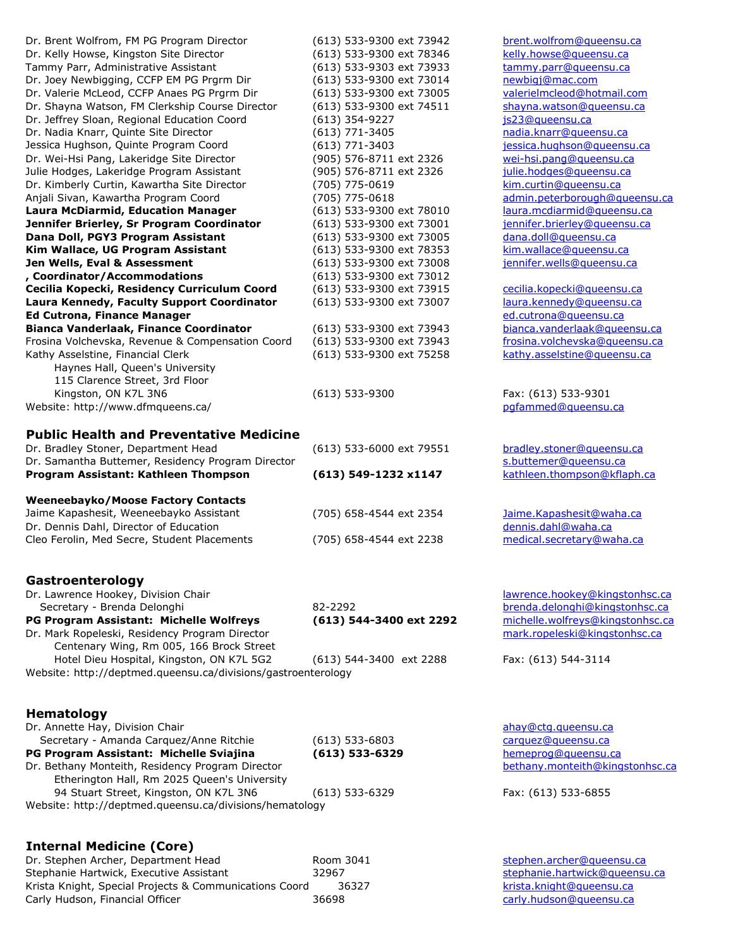| Dr. Brent Wolfrom, FM PG Program Director<br>Dr. Kelly Howse, Kingston Site Director | (613) 533-9300 ext 73942<br>(613) 533-9300 ext 78346 | brent.wolfrom@queensu.ca<br>kelly.howse@queensu.ca               |
|--------------------------------------------------------------------------------------|------------------------------------------------------|------------------------------------------------------------------|
| Tammy Parr, Administrative Assistant                                                 | (613) 533-9303 ext 73933                             | tammy.parr@queensu.ca                                            |
| Dr. Joey Newbigging, CCFP EM PG Prgrm Dir                                            | (613) 533-9300 ext 73014                             | newbigj@mac.com                                                  |
| Dr. Valerie McLeod, CCFP Anaes PG Prgrm Dir                                          | (613) 533-9300 ext 73005                             | valerielmcleod@hotmail.com                                       |
| Dr. Shayna Watson, FM Clerkship Course Director                                      | (613) 533-9300 ext 74511                             | shayna.watson@queensu.ca                                         |
| Dr. Jeffrey Sloan, Regional Education Coord                                          | $(613)$ 354-9227                                     | js23@queensu.ca                                                  |
| Dr. Nadia Knarr, Quinte Site Director                                                | (613) 771-3405                                       | nadia.knarr@gueensu.ca                                           |
| Jessica Hughson, Quinte Program Coord                                                | (613) 771-3403                                       | jessica.hughson@queensu.ca                                       |
| Dr. Wei-Hsi Pang, Lakeridge Site Director                                            | (905) 576-8711 ext 2326                              | wei-hsi.pang@queensu.ca                                          |
| Julie Hodges, Lakeridge Program Assistant                                            | (905) 576-8711 ext 2326                              | julie.hodges@queensu.ca                                          |
| Dr. Kimberly Curtin, Kawartha Site Director                                          | (705) 775-0619                                       | kim.curtin@queensu.ca                                            |
| Anjali Sivan, Kawartha Program Coord                                                 | (705) 775-0618                                       | admin.peterborough@queensu.ca                                    |
| <b>Laura McDiarmid, Education Manager</b>                                            | (613) 533-9300 ext 78010                             | laura.mcdiarmid@queensu.ca                                       |
| Jennifer Brierley, Sr Program Coordinator                                            | (613) 533-9300 ext 73001                             | jennifer.brierley@queensu.ca                                     |
| Dana Doll, PGY3 Program Assistant                                                    | (613) 533-9300 ext 73005                             | dana.doll@gueensu.ca                                             |
| Kim Wallace, UG Program Assistant                                                    | (613) 533-9300 ext 78353                             | kim.wallace@queensu.ca                                           |
| Jen Wells, Eval & Assessment                                                         | (613) 533-9300 ext 73008                             | jennifer.wells@queensu.ca                                        |
| , Coordinator/Accommodations<br>Cecilia Kopecki, Residency Curriculum Coord          | (613) 533-9300 ext 73012<br>(613) 533-9300 ext 73915 | cecilia.kopecki@queensu.ca                                       |
| Laura Kennedy, Faculty Support Coordinator                                           | (613) 533-9300 ext 73007                             | laura.kennedy@queensu.ca                                         |
| <b>Ed Cutrona, Finance Manager</b>                                                   |                                                      | ed.cutrona@queensu.ca                                            |
| Bianca Vanderlaak, Finance Coordinator                                               | (613) 533-9300 ext 73943                             | bianca.vanderlaak@queensu.ca                                     |
| Frosina Volchevska, Revenue & Compensation Coord                                     | (613) 533-9300 ext 73943                             | frosina.volchevska@queensu.ca                                    |
| Kathy Asselstine, Financial Clerk                                                    | (613) 533-9300 ext 75258                             | kathy.asselstine@queensu.ca                                      |
| Haynes Hall, Queen's University                                                      |                                                      |                                                                  |
| 115 Clarence Street, 3rd Floor                                                       |                                                      |                                                                  |
| Kingston, ON K7L 3N6                                                                 | $(613) 533 - 9300$                                   | Fax: (613) 533-9301                                              |
| Website: http://www.dfmqueens.ca/                                                    |                                                      | pgfammed@queensu.ca                                              |
|                                                                                      |                                                      |                                                                  |
| <b>Public Health and Preventative Medicine</b>                                       |                                                      |                                                                  |
| Dr. Bradley Stoner, Department Head                                                  | (613) 533-6000 ext 79551                             | bradley.stoner@queensu.ca                                        |
| Dr. Samantha Buttemer, Residency Program Director                                    |                                                      | s.buttemer@queensu.ca                                            |
| Program Assistant: Kathleen Thompson                                                 | (613) 549-1232 x1147                                 | kathleen.thompson@kflaph.ca                                      |
| <b>Weeneebayko/Moose Factory Contacts</b>                                            |                                                      |                                                                  |
| Jaime Kapashesit, Weeneebayko Assistant                                              | (705) 658-4544 ext 2354                              | Jaime.Kapashesit@waha.ca                                         |
| Dr. Dennis Dahl, Director of Education                                               |                                                      | dennis.dahl@waha.ca                                              |
| Cleo Ferolin, Med Secre, Student Placements                                          | (705) 658-4544 ext 2238                              | medical.secretary@waha.ca                                        |
|                                                                                      |                                                      |                                                                  |
|                                                                                      |                                                      |                                                                  |
| Gastroenterology                                                                     |                                                      |                                                                  |
| Dr. Lawrence Hookey, Division Chair<br>Secretary - Brenda Delonghi                   | 82-2292                                              | lawrence.hookey@kingstonhsc.ca<br>brenda.delonghi@kingstonhsc.ca |
| PG Program Assistant: Michelle Wolfreys                                              | (613) 544-3400 ext 2292                              | michelle.wolfreys@kingstonhsc.ca                                 |
| Dr. Mark Ropeleski, Residency Program Director                                       |                                                      | mark.ropeleski@kingstonhsc.ca                                    |
| Centenary Wing, Rm 005, 166 Brock Street                                             |                                                      |                                                                  |
| Hotel Dieu Hospital, Kingston, ON K7L 5G2                                            | (613) 544-3400 ext 2288                              | Fax: (613) 544-3114                                              |
| Website: http://deptmed.queensu.ca/divisions/gastroenterology                        |                                                      |                                                                  |
|                                                                                      |                                                      |                                                                  |
| <b>Hematology</b>                                                                    |                                                      |                                                                  |
| Dr. Annette Hay, Division Chair                                                      |                                                      | ahay@ctg.queensu.ca                                              |
| Secretary - Amanda Carquez/Anne Ritchie                                              | $(613)$ 533-6803                                     | carquez@queensu.ca                                               |
| PG Program Assistant: Michelle Sviajina                                              | $(613)$ 533-6329                                     | hemeprog@queensu.ca                                              |
| Dr. Bethany Monteith, Residency Program Director                                     |                                                      | bethany.monteith@kingstonhsc.ca                                  |
| Etherington Hall, Rm 2025 Queen's University                                         |                                                      |                                                                  |
| 94 Stuart Street, Kingston, ON K7L 3N6                                               | $(613) 533 - 6329$                                   | Fax: (613) 533-6855                                              |
| Website: http://deptmed.queensu.ca/divisions/hematology                              |                                                      |                                                                  |
|                                                                                      |                                                      |                                                                  |
|                                                                                      |                                                      |                                                                  |
| <b>Internal Medicine (Core)</b>                                                      |                                                      |                                                                  |

Dr. Stephen Archer, Department Head **Room 3041** [stephen.archer@queensu.ca](mailto:stephen.archer@queensu.ca) Stephanie Hartwick, Executive Assistant 32967 [stephanie.hartwick@queensu.ca](mailto:stephanie.hartwick@queensu.ca) Krista Knight, Special Projects & Communications Coord and 36327 [krista.knight@queensu.ca](mailto:krista.knight@queensu.ca)<br>Carly Hudson, Financial Officer 36698 36698 carly hudson@queensu.ca Carly Hudson, Financial Officer 36698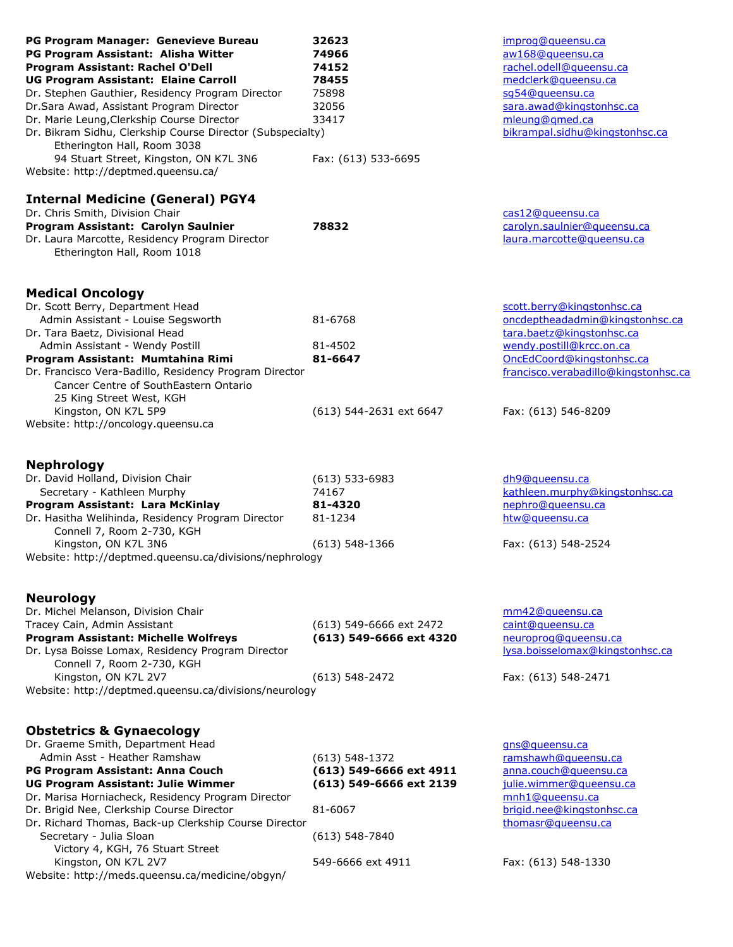| PG Program Manager: Genevieve Bureau<br>PG Program Assistant: Alisha Witter<br>Program Assistant: Rachel O'Dell<br><b>UG Program Assistant: Elaine Carroll</b><br>Dr. Stephen Gauthier, Residency Program Director<br>Dr.Sara Awad, Assistant Program Director<br>Dr. Marie Leung, Clerkship Course Director<br>Dr. Bikram Sidhu, Clerkship Course Director (Subspecialty)<br>Etherington Hall, Room 3038<br>94 Stuart Street, Kingston, ON K7L 3N6<br>Website: http://deptmed.queensu.ca/ | 32623<br>74966<br>74152<br>78455<br>75898<br>32056<br>33417<br>Fax: (613) 533-6695                                           | improg@gueensu.ca<br>aw168@queensu.ca<br>rachel.odell@queensu.ca<br>medclerk@queensu.ca<br>sq54@queensu.ca<br>sara.awad@kingstonhsc.ca<br>mleung@gmed.ca<br>bikrampal.sidhu@kingstonhsc.ca                         |
|--------------------------------------------------------------------------------------------------------------------------------------------------------------------------------------------------------------------------------------------------------------------------------------------------------------------------------------------------------------------------------------------------------------------------------------------------------------------------------------------|------------------------------------------------------------------------------------------------------------------------------|--------------------------------------------------------------------------------------------------------------------------------------------------------------------------------------------------------------------|
| <b>Internal Medicine (General) PGY4</b><br>Dr. Chris Smith, Division Chair<br>Program Assistant: Carolyn Saulnier<br>Dr. Laura Marcotte, Residency Program Director<br>Etherington Hall, Room 1018                                                                                                                                                                                                                                                                                         | 78832                                                                                                                        | cas12@gueensu.ca<br>carolyn.saulnier@queensu.ca<br>laura.marcotte@queensu.ca                                                                                                                                       |
| <b>Medical Oncology</b><br>Dr. Scott Berry, Department Head<br>Admin Assistant - Louise Segsworth<br>Dr. Tara Baetz, Divisional Head<br>Admin Assistant - Wendy Postill<br>Program Assistant: Mumtahina Rimi<br>Dr. Francisco Vera-Badillo, Residency Program Director<br>Cancer Centre of SouthEastern Ontario<br>25 King Street West, KGH<br>Kingston, ON K7L 5P9<br>Website: http://oncology.queensu.ca                                                                                 | 81-6768<br>81-4502<br>81-6647<br>(613) 544-2631 ext 6647                                                                     | scott.berry@kingstonhsc.ca<br>oncdeptheadadmin@kingstonhsc.ca<br>tara.baetz@kingstonhsc.ca<br>wendy.postill@krcc.on.ca<br>OncEdCoord@kingstonhsc.ca<br>francisco.verabadillo@kingstonhsc.ca<br>Fax: (613) 546-8209 |
| <b>Nephrology</b><br>Dr. David Holland, Division Chair<br>Secretary - Kathleen Murphy<br>Program Assistant: Lara McKinlay<br>Dr. Hasitha Welihinda, Residency Program Director<br>Connell 7, Room 2-730, KGH<br>Kingston, ON K7L 3N6<br>Website: http://deptmed.queensu.ca/divisions/nephrology                                                                                                                                                                                            | $(613) 533 - 6983$<br>74167<br>81-4320<br>81-1234<br>$(613) 548 - 1366$                                                      | dh9@queensu.ca<br>kathleen.murphy@kingstonhsc.ca<br>nephro@gueensu.ca<br>htw@gueensu.ca<br>Fax: (613) 548-2524                                                                                                     |
| <b>Neurology</b><br>Dr. Michel Melanson, Division Chair<br>Tracey Cain, Admin Assistant<br><b>Program Assistant: Michelle Wolfreys</b><br>Dr. Lysa Boisse Lomax, Residency Program Director<br>Connell 7, Room 2-730, KGH<br>Kingston, ON K7L 2V7<br>Website: http://deptmed.queensu.ca/divisions/neurology                                                                                                                                                                                | (613) 549-6666 ext 2472<br>(613) 549-6666 ext 4320<br>$(613) 548 - 2472$                                                     | mm42@queensu.ca<br>caint@gueensu.ca<br>neuroprog@gueensu.ca<br>lysa.boisselomax@kingstonhsc.ca<br>Fax: (613) 548-2471                                                                                              |
| <b>Obstetrics &amp; Gynaecology</b><br>Dr. Graeme Smith, Department Head<br>Admin Asst - Heather Ramshaw<br>PG Program Assistant: Anna Couch<br>UG Program Assistant: Julie Wimmer<br>Dr. Marisa Horniacheck, Residency Program Director<br>Dr. Brigid Nee, Clerkship Course Director<br>Dr. Richard Thomas, Back-up Clerkship Course Director<br>Secretary - Julia Sloan<br>Victory 4, KGH, 76 Stuart Street<br>Kingston, ON K7L 2V7<br>Website: http://meds.queensu.ca/medicine/obgyn/   | $(613)$ 548-1372<br>(613) 549-6666 ext 4911<br>(613) 549-6666 ext 2139<br>81-6067<br>$(613) 548 - 7840$<br>549-6666 ext 4911 | gns@queensu.ca<br>ramshawh@queensu.ca<br>anna.couch@queensu.ca<br>julie.wimmer@queensu.ca<br>mnh1@queensu.ca<br>brigid.nee@kingstonhsc.ca<br>thomasr@gueensu.ca<br>Fax: (613) 548-1330                             |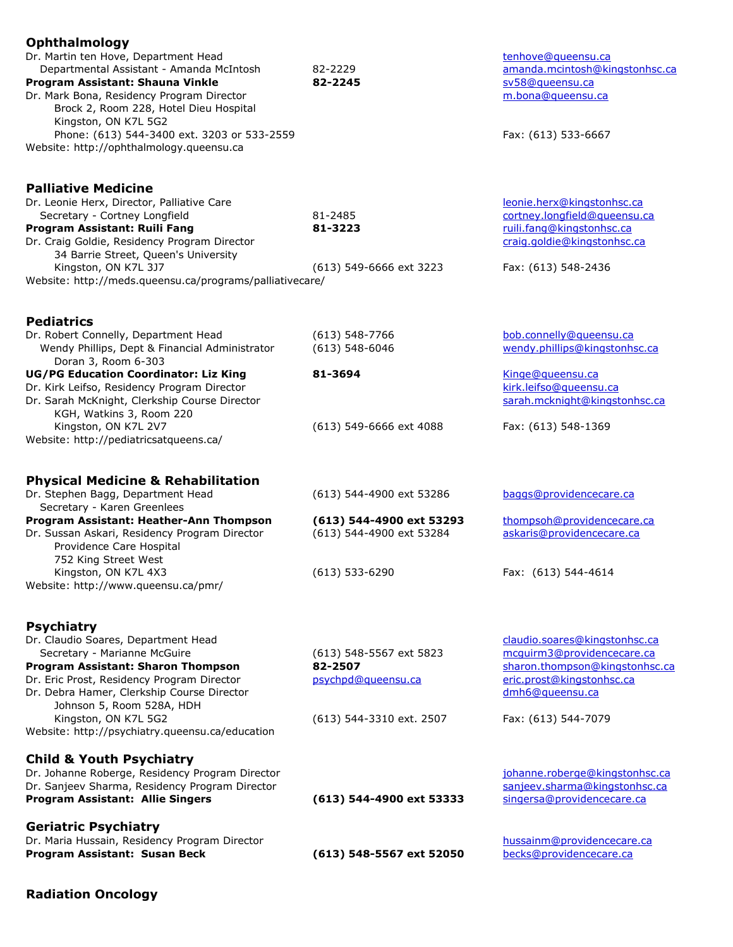| <b>Ophthalmology</b>                                     |                          |                                |
|----------------------------------------------------------|--------------------------|--------------------------------|
| Dr. Martin ten Hove, Department Head                     |                          | tenhove@queensu.ca             |
| Departmental Assistant - Amanda McIntosh                 | 82-2229                  | amanda.mcintosh@kingstonhsc.ca |
| Program Assistant: Shauna Vinkle                         | 82-2245                  | sv58@queensu.ca                |
|                                                          |                          |                                |
| Dr. Mark Bona, Residency Program Director                |                          | m.bona@queensu.ca              |
| Brock 2, Room 228, Hotel Dieu Hospital                   |                          |                                |
| Kingston, ON K7L 5G2                                     |                          |                                |
| Phone: (613) 544-3400 ext. 3203 or 533-2559              |                          | Fax: (613) 533-6667            |
| Website: http://ophthalmology.queensu.ca                 |                          |                                |
|                                                          |                          |                                |
|                                                          |                          |                                |
| <b>Palliative Medicine</b>                               |                          |                                |
|                                                          |                          |                                |
| Dr. Leonie Herx, Director, Palliative Care               |                          | leonie.herx@kingstonhsc.ca     |
| Secretary - Cortney Longfield                            | 81-2485                  | cortney.longfield@gueensu.ca   |
| Program Assistant: Ruili Fang                            | 81-3223                  | ruili.fang@kingstonhsc.ca      |
| Dr. Craig Goldie, Residency Program Director             |                          | craig.goldie@kingstonhsc.ca    |
| 34 Barrie Street, Queen's University                     |                          |                                |
| Kingston, ON K7L 3J7                                     | (613) 549-6666 ext 3223  | Fax: (613) 548-2436            |
| Website: http://meds.queensu.ca/programs/palliativecare/ |                          |                                |
|                                                          |                          |                                |
|                                                          |                          |                                |
| <b>Pediatrics</b>                                        |                          |                                |
| Dr. Robert Connelly, Department Head                     | $(613) 548 - 7766$       | bob.connelly@queensu.ca        |
|                                                          |                          |                                |
| Wendy Phillips, Dept & Financial Administrator           | $(613)$ 548-6046         | wendy.phillips@kingstonhsc.ca  |
| Doran 3, Room 6-303                                      |                          |                                |
| <b>UG/PG Education Coordinator: Liz King</b>             | 81-3694                  | Kinge@queensu.ca               |
| Dr. Kirk Leifso, Residency Program Director              |                          | kirk.leifso@queensu.ca         |
| Dr. Sarah McKnight, Clerkship Course Director            |                          | sarah.mcknight@kingstonhsc.ca  |
| KGH, Watkins 3, Room 220                                 |                          |                                |
| Kingston, ON K7L 2V7                                     | (613) 549-6666 ext 4088  | Fax: (613) 548-1369            |
| Website: http://pediatricsatqueens.ca/                   |                          |                                |
|                                                          |                          |                                |
|                                                          |                          |                                |
|                                                          |                          |                                |
| <b>Physical Medicine &amp; Rehabilitation</b>            |                          |                                |
| Dr. Stephen Bagg, Department Head                        | (613) 544-4900 ext 53286 | baggs@providencecare.ca        |
| Secretary - Karen Greenlees                              |                          |                                |
| Program Assistant: Heather-Ann Thompson                  | (613) 544-4900 ext 53293 | thompsoh@providencecare.ca     |
| Dr. Sussan Askari, Residency Program Director            | (613) 544-4900 ext 53284 | askaris@providencecare.ca      |
| Providence Care Hospital                                 |                          |                                |
| 752 King Street West                                     |                          |                                |
| Kingston, ON K7L 4X3                                     | $(613) 533 - 6290$       | Fax: (613) 544-4614            |
| Website: http://www.queensu.ca/pmr/                      |                          |                                |
|                                                          |                          |                                |
|                                                          |                          |                                |
|                                                          |                          |                                |
| <b>Psychiatry</b>                                        |                          |                                |
| Dr. Claudio Soares, Department Head                      |                          | claudio.soares@kingstonhsc.ca  |
| Secretary - Marianne McGuire                             | (613) 548-5567 ext 5823  | mcquirm3@providencecare.ca     |
| Program Assistant: Sharon Thompson                       | 82-2507                  | sharon.thompson@kingstonhsc.ca |
| Dr. Eric Prost, Residency Program Director               | psychpd@queensu.ca       | eric.prost@kingstonhsc.ca      |
| Dr. Debra Hamer, Clerkship Course Director               |                          | dmh6@queensu.ca                |
| Johnson 5, Room 528A, HDH                                |                          |                                |
| Kingston, ON K7L 5G2                                     | (613) 544-3310 ext. 2507 | Fax: (613) 544-7079            |
| Website: http://psychiatry.queensu.ca/education          |                          |                                |
|                                                          |                          |                                |
|                                                          |                          |                                |
| <b>Child &amp; Youth Psychiatry</b>                      |                          |                                |
| Dr. Johanne Roberge, Residency Program Director          |                          | johanne.roberge@kingstonhsc.ca |
| Dr. Sanjeev Sharma, Residency Program Director           |                          | sanjeev.sharma@kingstonhsc.ca  |
| Program Assistant: Allie Singers                         | (613) 544-4900 ext 53333 | singersa@providencecare.ca     |
|                                                          |                          |                                |
| <b>Geriatric Psychiatry</b>                              |                          |                                |
| Dr. Maria Hussain, Residency Program Director            |                          | hussainm@providencecare.ca     |
| Program Assistant: Susan Beck                            | (613) 548-5567 ext 52050 | becks@providencecare.ca        |
|                                                          |                          |                                |
|                                                          |                          |                                |
| <b>Radiation Oncology</b>                                |                          |                                |
|                                                          |                          |                                |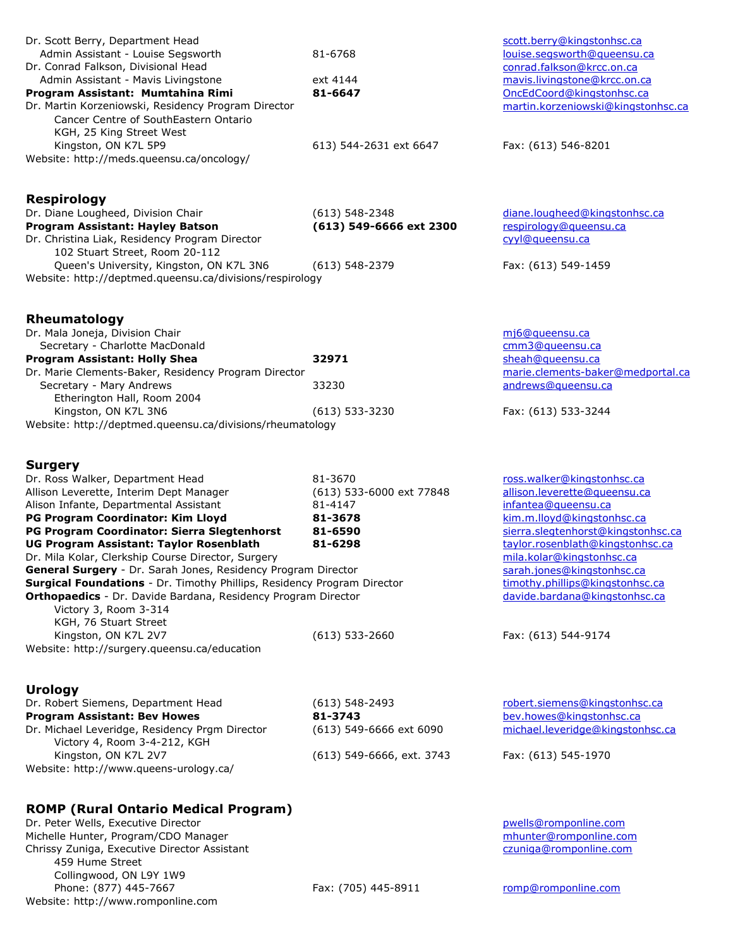| Dr. Scott Berry, Department Head<br>Admin Assistant - Louise Segsworth<br>Dr. Conrad Falkson, Divisional Head<br>Admin Assistant - Mavis Livingstone<br>Program Assistant: Mumtahina Rimi<br>Dr. Martin Korzeniowski, Residency Program Director<br>Cancer Centre of SouthEastern Ontario<br>KGH, 25 King Street West<br>Kingston, ON K7L 5P9<br>Website: http://meds.queensu.ca/oncology/                                                                                                                                                                                                                                                                                 | 81-6768<br>ext 4144<br>81-6647<br>613) 544-2631 ext 6647                                              | scott.berry@kingstonhsc.ca<br>louise.segsworth@queensu.ca<br>conrad.falkson@krcc.on.ca<br>mavis.livingstone@krcc.on.ca<br>OncEdCoord@kingstonhsc.ca<br>martin.korzeniowski@kingstonhsc.ca<br>Fax: (613) 546-8201                                                                                                                                |
|----------------------------------------------------------------------------------------------------------------------------------------------------------------------------------------------------------------------------------------------------------------------------------------------------------------------------------------------------------------------------------------------------------------------------------------------------------------------------------------------------------------------------------------------------------------------------------------------------------------------------------------------------------------------------|-------------------------------------------------------------------------------------------------------|-------------------------------------------------------------------------------------------------------------------------------------------------------------------------------------------------------------------------------------------------------------------------------------------------------------------------------------------------|
| <b>Respirology</b><br>Dr. Diane Lougheed, Division Chair<br>Program Assistant: Hayley Batson<br>Dr. Christina Liak, Residency Program Director<br>102 Stuart Street, Room 20-112<br>Queen's University, Kingston, ON K7L 3N6<br>Website: http://deptmed.queensu.ca/divisions/respirology                                                                                                                                                                                                                                                                                                                                                                                   | $(613)$ 548-2348<br>(613) 549-6666 ext 2300<br>$(613) 548 - 2379$                                     | diane.lougheed@kingstonhsc.ca<br>respirology@gueensu.ca<br>cyyl@gueensu.ca<br>Fax: (613) 549-1459                                                                                                                                                                                                                                               |
| Rheumatology<br>Dr. Mala Joneja, Division Chair<br>Secretary - Charlotte MacDonald<br><b>Program Assistant: Holly Shea</b><br>Dr. Marie Clements-Baker, Residency Program Director<br>Secretary - Mary Andrews<br>Etherington Hall, Room 2004<br>Kingston, ON K7L 3N6<br>Website: http://deptmed.queensu.ca/divisions/rheumatology                                                                                                                                                                                                                                                                                                                                         | 32971<br>33230<br>$(613)$ 533-3230                                                                    | mi6@queensu.ca<br>cmm3@queensu.ca<br>sheah@queensu.ca<br>marie.clements-baker@medportal.ca<br>andrews@queensu.ca<br>Fax: (613) 533-3244                                                                                                                                                                                                         |
| <b>Surgery</b><br>Dr. Ross Walker, Department Head<br>Allison Leverette, Interim Dept Manager<br>Alison Infante, Departmental Assistant<br>PG Program Coordinator: Kim Lloyd<br>PG Program Coordinator: Sierra Slegtenhorst<br><b>UG Program Assistant: Taylor Rosenblath</b><br>Dr. Mila Kolar, Clerkship Course Director, Surgery<br>General Surgery - Dr. Sarah Jones, Residency Program Director<br>Surgical Foundations - Dr. Timothy Phillips, Residency Program Director<br>Orthopaedics - Dr. Davide Bardana, Residency Program Director<br>Victory 3, Room 3-314<br>KGH, 76 Stuart Street<br>Kingston, ON K7L 2V7<br>Website: http://surgery.queensu.ca/education | 81-3670<br>(613) 533-6000 ext 77848<br>81-4147<br>81-3678<br>81-6590<br>81-6298<br>$(613) 533 - 2660$ | ross.walker@kingstonhsc.ca<br>allison.leverette@queensu.ca<br>infantea@gueensu.ca<br>kim.m.lloyd@kingstonhsc.ca<br>sierra.slegtenhorst@kingstonhsc.ca<br>taylor.rosenblath@kingstonhsc.ca<br>mila.kolar@kingstonhsc.ca<br>sarah.jones@kingstonhsc.ca<br>timothy.phillips@kingstonhsc.ca<br>davide.bardana@kingstonhsc.ca<br>Fax: (613) 544-9174 |
| <b>Urology</b><br>Dr. Robert Siemens, Department Head<br><b>Program Assistant: Bev Howes</b><br>Dr. Michael Leveridge, Residency Prgm Director<br>Victory 4, Room 3-4-212, KGH<br>Kingston, ON K7L 2V7<br>Website: http://www.queens-urology.ca/                                                                                                                                                                                                                                                                                                                                                                                                                           | $(613) 548 - 2493$<br>81-3743<br>(613) 549-6666 ext 6090<br>(613) 549-6666, ext. 3743                 | robert.siemens@kingstonhsc.ca<br>bev.howes@kingstonhsc.ca<br>michael.leveridge@kingstonhsc.ca<br>Fax: (613) 545-1970                                                                                                                                                                                                                            |
| <b>ROMP (Rural Ontario Medical Program)</b><br>Dr. Peter Wells, Executive Director<br>Michelle Hunter, Program/CDO Manager<br>Chrissy Zuniga, Executive Director Assistant<br>459 Hume Street<br>Collingwood, ON L9Y 1W9<br>Phone: (877) 445-7667                                                                                                                                                                                                                                                                                                                                                                                                                          | Fax: (705) 445-8911                                                                                   | pwells@romponline.com<br>mhunter@romponline.com<br>czuniga@romponline.com<br>romp@romponline.com                                                                                                                                                                                                                                                |

Website: http://www.romponline.com